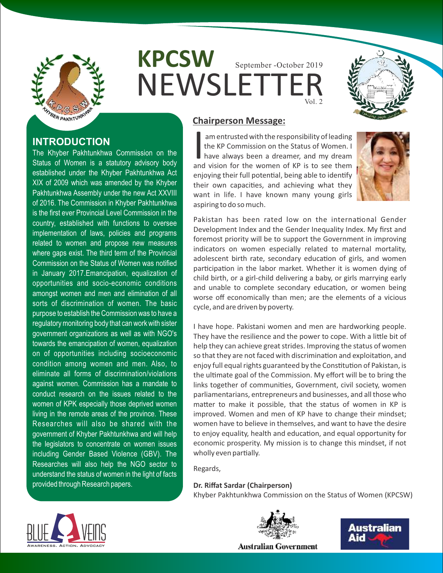

**INTRODUCTION**

The Khyber Pakhtunkhwa Commission on the Status of Women is a statutory advisory body established under the Khyber Pakhtunkhwa Act XIX of 2009 which was amended by the Khyber Pakhtunkhwa Assembly under the new Act XXVIII of 2016. The Commission in Khyber Pakhtunkhwa is the first ever Provincial Level Commission in the country, established with functions to oversee implementation of laws, policies and programs related to women and propose new measures where gaps exist. The third term of the Provincial Commission on the Status of Women was notified in January 2017.Emancipation, equalization of opportunities and socio-economic conditions amongst women and men and elimination of all sorts of discrimination of women. The basic purpose to establish the Commission was to have a regulatory monitoring body that can work with sister government organizations as well as with NGO's towards the emancipation of women, equalization on of opportunities including socioeconomic condition among women and men. Also, to eliminate all forms of discrimination/violations against women. Commission has a mandate to conduct research on the issues related to the women of KPK especially those deprived women living in the remote areas of the province. These Researches will also be shared with the government of Khyber Pakhtunkhwa and will help the legislators to concentrate on women issues including Gender Based Violence (GBV). The Researches will also help the NGO sector to understand the status of women in the light of facts

**KPCSW NEWSLETTEI** September -October 2019 Vol. 2



## **Chairperson Message:**

am entrusted with the responsibility of leading<br>the KP Commission on the Status of Women. I<br>have always been a dreamer, and my dream<br>and vision for the women of KP is to see them the KP Commission on the Status of Women. I have always been a dreamer, and my dream and vision for the women of KP is to see them enjoying their full potential, being able to identify their own capacities, and achieving what they want in life. I have known many young girls aspiring to do so much.



Pakistan has been rated low on the international Gender Development Index and the Gender Inequality Index. My first and foremost priority will be to support the Government in improving indicators on women especially related to maternal mortality, adolescent birth rate, secondary education of girls, and women participation in the labor market. Whether it is women dying of child birth, or a girl-child delivering a baby, or girls marrying early and unable to complete secondary education, or women being worse off economically than men; are the elements of a vicious cycle, and are driven by poverty.

I have hope. Pakistani women and men are hardworking people. They have the resilience and the power to cope. With a little bit of help they can achieve great strides. Improving the status of women so that they are not faced with discrimination and exploitation, and enjoy full equal rights guaranteed by the Constitution of Pakistan, is the ultimate goal of the Commission. My effort will be to bring the links together of communities, Government, civil society, women parliamentarians, entrepreneurs and businesses, and all those who matter to make it possible, that the status of women in KP is improved. Women and men of KP have to change their mindset; women have to believe in themselves, and want to have the desire to enjoy equality, health and education, and equal opportunity for economic prosperity. My mission is to change this mindset, if not wholly even partially.

Regards,

**Dr. Riffat Sardar (Chairperson)** Khyber Pakhtunkhwa Commission on the Status of Women (KPCSW)



provided through Research papers.



Australian Aid

**Australian Government**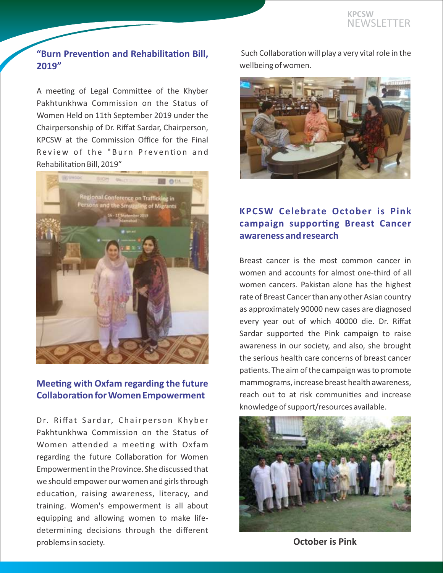### **"Burn Prevention and Rehabilitation Bill, 2019"**

A meeting of Legal Committee of the Khyber Pakhtunkhwa Commission on the Status of Women Held on 11th September 2019 under the Chairpersonship of Dr. Riffat Sardar, Chairperson, KPCSW at the Commission Office for the Final Review of the "Burn Prevention and Rehabilitation Bill, 2019"



### **Meeting with Oxfam regarding the future Collaboration for Women Empowerment**

Dr. Riffat Sardar, Chairperson Khyber Pakhtunkhwa Commission on the Status of Women attended a meeting with Oxfam regarding the future Collaboration for Women Empowerment in the Province. She discussed that we should empower our women and girls through education, raising awareness, literacy, and training. Women's empowerment is all about equipping and allowing women to make lifedetermining decisions through the different problems in society.

Such Collaboration will play a very vital role in the wellbeing of women.



## **KPCSW Celebrate October is Pink campaign supporting Breast Cancer awareness and research**

Breast cancer is the most common cancer in women and accounts for almost one-third of all women cancers. Pakistan alone has the highest rate of Breast Cancer than any other Asian country as approximately 90000 new cases are diagnosed every year out of which 40000 die. Dr. Riffat Sardar supported the Pink campaign to raise awareness in our society, and also, she brought the serious health care concerns of breast cancer patients. The aim of the campaign was to promote mammograms, increase breast health awareness, reach out to at risk communities and increase knowledge of support/resources available.



**October is Pink**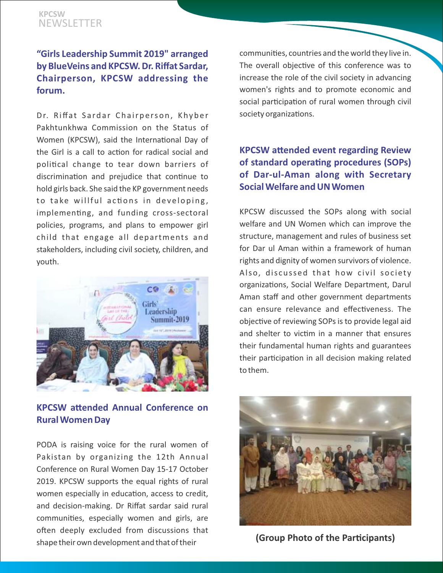## **"Girls Leadership Summit 2019" arranged by BlueVeins and KPCSW. Dr. Riffat Sardar, Chairperson, KPCSW addressing the forum.**

Dr. Riffat Sardar Chairperson, Khyber Pakhtunkhwa Commission on the Status of Women (KPCSW), said the International Day of the Girl is a call to action for radical social and political change to tear down barriers of discrimination and prejudice that continue to hold girls back. She said the KP government needs to take willful actions in developing, implementing, and funding cross-sectoral policies, programs, and plans to empower girl child that engage all departments and stakeholders, including civil society, children, and youth.



**KPCSW attended Annual Conference on Rural Women Day**

PODA is raising voice for the rural women of Pakistan by organizing the 12th Annual Conference on Rural Women Day 15-17 October 2019. KPCSW supports the equal rights of rural women especially in education, access to credit, and decision-making. Dr Riffat sardar said rural communities, especially women and girls, are often deeply excluded from discussions that shape their own development and that of their

communities, countries and the world they live in. The overall objective of this conference was to increase the role of the civil society in advancing women's rights and to promote economic and social participation of rural women through civil society organizations.

# **KPCSW attended event regarding Review of standard operating procedures (SOPs) of Dar-ul-Aman along with Secretary Social Welfare and UN Women**

KPCSW discussed the SOPs along with social welfare and UN Women which can improve the structure, management and rules of business set for Dar ul Aman within a framework of human rights and dignity of women survivors of violence. Also, discussed that how civil society organizations, Social Welfare Department, Darul Aman staff and other government departments can ensure relevance and effectiveness. The objective of reviewing SOPs is to provide legal aid and shelter to victim in a manner that ensures their fundamental human rights and guarantees their participation in all decision making related to them.



**(Group Photo of the Parcipants)**